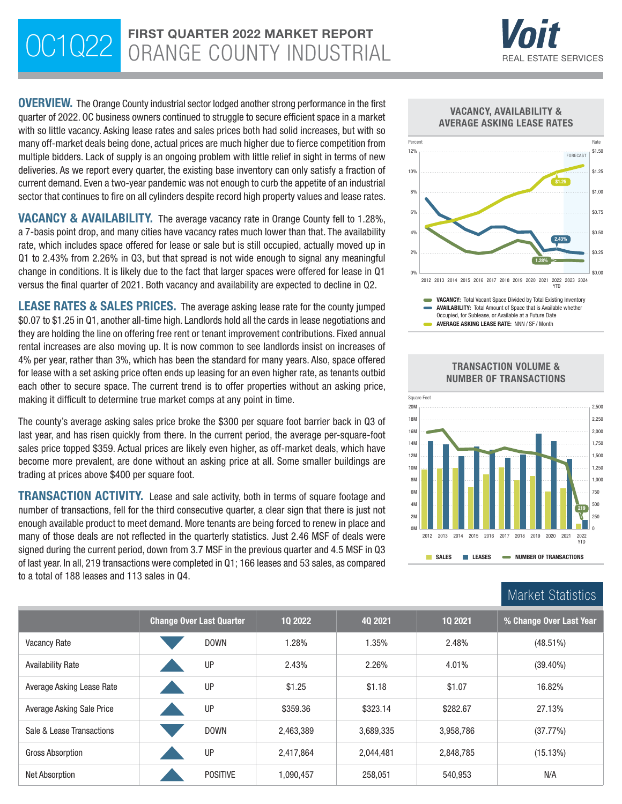# OC1Q22 FIRST QUARTER 2022 MARKET REPORT



**OVERVIEW.** The Orange County industrial sector lodged another strong performance in the first quarter of 2022. OC business owners continued to struggle to secure efficient space in a market with so little vacancy. Asking lease rates and sales prices both had solid increases, but with so many off-market deals being done, actual prices are much higher due to fierce competition from multiple bidders. Lack of supply is an ongoing problem with little relief in sight in terms of new deliveries. As we report every quarter, the existing base inventory can only satisfy a fraction of current demand. Even a two-year pandemic was not enough to curb the appetite of an industrial sector that continues to fire on all cylinders despite record high property values and lease rates.

VACANCY & AVAILABILITY. The average vacancy rate in Orange County fell to 1.28%, a 7-basis point drop, and many cities have vacancy rates much lower than that. The availability rate, which includes space offered for lease or sale but is still occupied, actually moved up in Q1 to 2.43% from 2.26% in Q3, but that spread is not wide enough to signal any meaningful change in conditions. It is likely due to the fact that larger spaces were offered for lease in Q1 versus the final quarter of 2021. Both vacancy and availability are expected to decline in Q2.

LEASE RATES & SALES PRICES. The average asking lease rate for the county jumped \$0.07 to \$1.25 in Q1, another all-time high. Landlords hold all the cards in lease negotiations and they are holding the line on offering free rent or tenant improvement contributions. Fixed annual rental increases are also moving up. It is now common to see landlords insist on increases of 4% per year, rather than 3%, which has been the standard for many years. Also, space offered for lease with a set asking price often ends up leasing for an even higher rate, as tenants outbid each other to secure space. The current trend is to offer properties without an asking price, making it difficult to determine true market comps at any point in time.

The county's average asking sales price broke the \$300 per square foot barrier back in Q3 of last year, and has risen quickly from there. In the current period, the average per-square-foot sales price topped \$359. Actual prices are likely even higher, as off-market deals, which have become more prevalent, are done without an asking price at all. Some smaller buildings are trading at prices above \$400 per square foot.

**TRANSACTION ACTIVITY.** Lease and sale activity, both in terms of square footage and number of transactions, fell for the third consecutive quarter, a clear sign that there is just not enough available product to meet demand. More tenants are being forced to renew in place and many of those deals are not reflected in the quarterly statistics. Just 2.46 MSF of deals were signed during the current period, down from 3.7 MSF in the previous quarter and 4.5 MSF in Q3 of last year. In all, 219 transactions were completed in Q1; 166 leases and 53 sales, as compared to a total of 188 leases and 113 sales in Q4.





|                           | <b>Change Over Last Quarter</b> | 10 2022   | 40 2021   | 10 2021   | % Change Over Last Year |  |  |
|---------------------------|---------------------------------|-----------|-----------|-----------|-------------------------|--|--|
| Vacancy Rate              | <b>DOWN</b>                     | 1.28%     | 1.35%     | 2.48%     | $(48.51\%)$             |  |  |
| Availability Rate         | UP                              | 2.43%     | 2.26%     | 4.01%     | $(39.40\%)$             |  |  |
| Average Asking Lease Rate | UP                              | \$1.25    | \$1.18    | \$1.07    | 16.82%                  |  |  |
| Average Asking Sale Price | UP                              | \$359.36  | \$323.14  | \$282.67  | 27.13%                  |  |  |
| Sale & Lease Transactions | <b>DOWN</b>                     | 2,463,389 | 3,689,335 | 3,958,786 | (37.77%)                |  |  |
| Gross Absorption          | UP                              | 2,417,864 | 2,044,481 | 2,848,785 | (15.13%)                |  |  |
| Net Absorption            | <b>POSITIVE</b>                 | 1.090.457 | 258,051   | 540,953   | N/A                     |  |  |

#### TRANSACTION VOLUME & NUMBER OF TRANSACTIONS

Market Statistics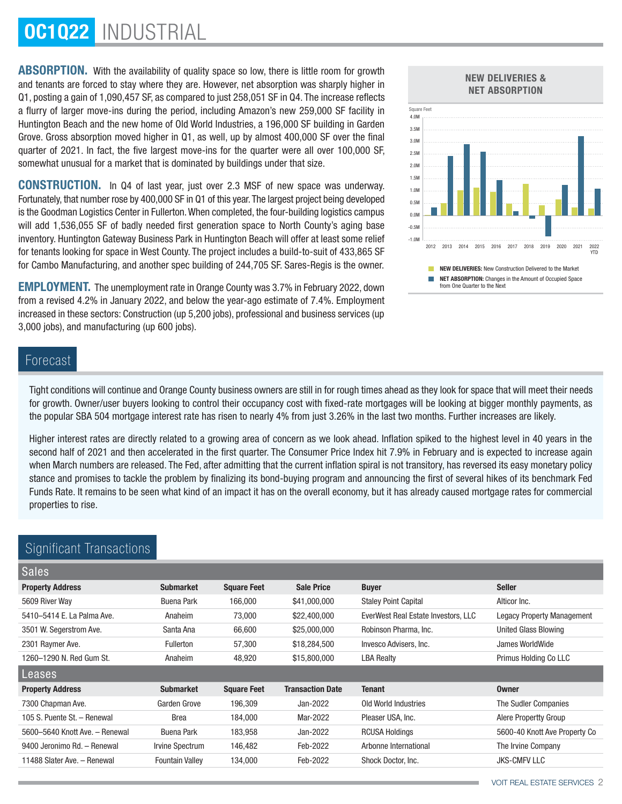# OC1Q22 INDUSTRIAL

ABSORPTION. With the availability of quality space so low, there is little room for growth and tenants are forced to stay where they are. However, net absorption was sharply higher in Q1, posting a gain of 1,090,457 SF, as compared to just 258,051 SF in Q4. The increase reflects a flurry of larger move-ins during the period, including Amazon's new 259,000 SF facility in Huntington Beach and the new home of Old World Industries, a 196,000 SF building in Garden Grove. Gross absorption moved higher in Q1, as well, up by almost 400,000 SF over the final quarter of 2021. In fact, the five largest move-ins for the quarter were all over 100,000 SF, somewhat unusual for a market that is dominated by buildings under that size.

CONSTRUCTION. In Q4 of last year, just over 2.3 MSF of new space was underway. Fortunately, that number rose by 400,000 SF in Q1 of this year. The largest project being developed is the Goodman Logistics Center in Fullerton. When completed, the four-building logistics campus will add 1,536,055 SF of badly needed first generation space to North County's aging base inventory. Huntington Gateway Business Park in Huntington Beach will offer at least some relief for tenants looking for space in West County. The project includes a build-to-suit of 433,865 SF for Cambo Manufacturing, and another spec building of 244,705 SF. Sares-Regis is the owner.

EMPLOYMENT. The unemployment rate in Orange County was 3.7% in February 2022, down from a revised 4.2% in January 2022, and below the year-ago estimate of 7.4%. Employment increased in these sectors: Construction (up 5,200 jobs), professional and business services (up 3,000 jobs), and manufacturing (up 600 jobs).

# NEW DELIVERIES & NET ABSORPTION



# Forecast

Tight conditions will continue and Orange County business owners are still in for rough times ahead as they look for space that will meet their needs for growth. Owner/user buyers looking to control their occupancy cost with fixed-rate mortgages will be looking at bigger monthly payments, as the popular SBA 504 mortgage interest rate has risen to nearly 4% from just 3.26% in the last two months. Further increases are likely.

Higher interest rates are directly related to a growing area of concern as we look ahead. Inflation spiked to the highest level in 40 years in the second half of 2021 and then accelerated in the first quarter. The Consumer Price Index hit 7.9% in February and is expected to increase again when March numbers are released. The Fed, after admitting that the current inflation spiral is not transitory, has reversed its easy monetary policy stance and promises to tackle the problem by finalizing its bond-buying program and announcing the first of several hikes of its benchmark Fed Funds Rate. It remains to be seen what kind of an impact it has on the overall economy, but it has already caused mortgage rates for commercial properties to rise.

# Significant Transactions Sales Property Address **Submarket** Square Feet Sale Price Buyer Seller Seller 5609 River Way Buena Park 166,000 \$41,000,000 Staley Point Capital Alticor Inc. 5410–5414 E. La Palma Ave. Anaheim 73,000 \$22,400,000 EverWest Real Estate Investors, LLC Legacy Property Management 3501 W. Segerstrom Ave. Santa Ana 66,600 \$25,000,000 Robinson Pharma, Inc. United Glass Blowing 2301 Raymer Ave. https://www.magnumerror.com/community-community-state invesco Advisers, Inc. and Sumes WorldWide 1260–1290 N. Red Gum St. Anaheim 48,920 \$15,800,000 LBA Realty Primus Holding Co LLC Leases Property Address **Submarket** Square Feet Transaction Date Tenant **Square Tenant** Owner 7300 Chapman Ave. Garden Grove 196,309 Jan-2022 Old World Industries The Sudler Companies 105 S. Puente St. – Renewal **Brea** 184,000 Mar-2022 Pleaser USA, Inc. Alere Propertty Group 5600–5640 Knott Ave. – Renewal Buena Park 183,958 Jan-2022 RCUSA Holdings 5600-40 Knott Ave Property Co 9400 Jeronimo Rd. – Renewal Irvine Spectrum 146,482 Feb-2022 Arbonne International The Irvine Company 11488 Slater Ave. – Renewal Fountain Valley 134,000 Feb-2022 Shock Doctor, Inc. JKS-CMFV LLC

# VOIT REAL ESTATE SERVICES 2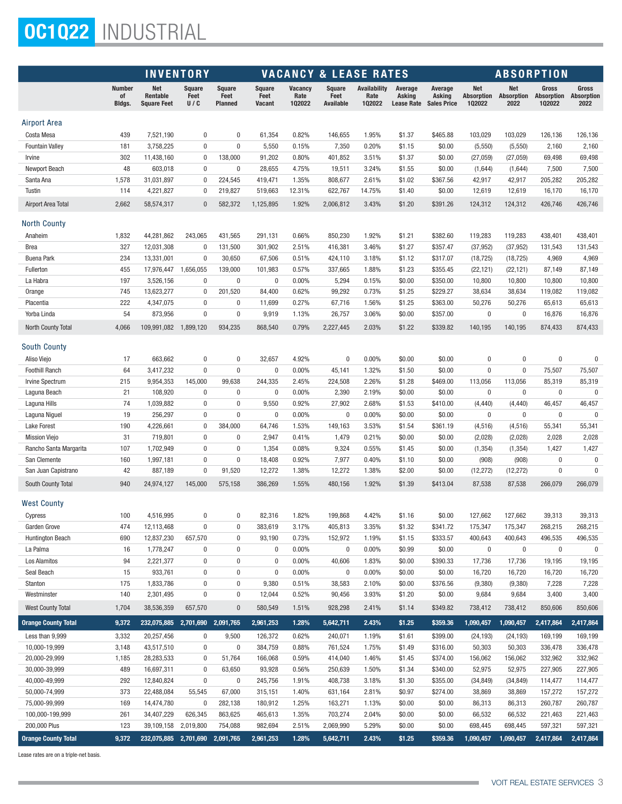# OC1Q22 INDUSTRIAL

|                                        | <b>INVENTORY</b>              |                                       |                              |                                         |                                 | <b>VACANCY &amp; LEASE RATES</b> |                                    |                                |                                        |                                         | <b>ABSORPTION</b>           |                                  |                               |                                    |
|----------------------------------------|-------------------------------|---------------------------------------|------------------------------|-----------------------------------------|---------------------------------|----------------------------------|------------------------------------|--------------------------------|----------------------------------------|-----------------------------------------|-----------------------------|----------------------------------|-------------------------------|------------------------------------|
|                                        | <b>Number</b><br>οf<br>Bldgs. | Net<br>Rentable<br><b>Square Feet</b> | <b>Square</b><br>Feet<br>U/C | <b>Square</b><br>Feet<br><b>Planned</b> | <b>Square</b><br>Feet<br>Vacant | <b>Vacancy</b><br>Rate<br>102022 | <b>Square</b><br>Feet<br>Available | Availability<br>Rate<br>102022 | Average<br>Asking<br><b>Lease Rate</b> | Average<br>Asking<br><b>Sales Price</b> | Net<br>Absorption<br>102022 | <b>Net</b><br>Absorption<br>2022 | Gross<br>Absorption<br>102022 | Gross<br><b>Absorption</b><br>2022 |
| Airport Area                           |                               |                                       |                              |                                         |                                 |                                  |                                    |                                |                                        |                                         |                             |                                  |                               |                                    |
| Costa Mesa                             | 439                           | 7,521,190                             | 0                            | $\pmb{0}$                               | 61,354                          | 0.82%                            | 146,655                            | 1.95%                          | \$1.37                                 | \$465.88                                | 103,029                     | 103,029                          | 126,136                       | 126,136                            |
| <b>Fountain Valley</b>                 | 181                           | 3,758,225                             | 0                            | $\pmb{0}$                               | 5,550                           | 0.15%                            | 7,350                              | 0.20%                          | \$1.15                                 | \$0.00                                  | (5,550)                     | (5,550)                          | 2,160                         | 2,160                              |
| Irvine                                 | 302                           | 11,438,160                            | $\bf{0}$                     | 138,000                                 | 91,202                          | 0.80%                            | 401,852                            | 3.51%                          | \$1.37                                 | \$0.00                                  | (27, 059)                   | (27,059)                         | 69,498                        | 69,498                             |
| Newport Beach                          | 48                            | 603,018                               | $\mathbf{0}$                 | 0                                       | 28,655                          | 4.75%                            | 19,511                             | 3.24%                          | \$1.55                                 | \$0.00                                  | (1,644)                     | (1,644)                          | 7,500                         | 7,500                              |
| Santa Ana                              | 1,578                         | 31,031,897                            | 0                            | 224,545                                 | 419,471                         | 1.35%                            | 808,677                            | 2.61%                          | \$1.02                                 | \$367.56                                | 42,917                      | 42,917                           | 205,282                       | 205,282                            |
| Tustin                                 | 114                           | 4,221,827                             | 0                            | 219,827                                 | 519,663                         | 12.31%                           | 622,767                            | 14.75%                         | \$1.40                                 | \$0.00                                  | 12,619                      | 12,619                           | 16,170                        | 16,170                             |
| Airport Area Total                     | 2,662                         | 58,574,317                            | $\mathbf{0}$                 | 582,372                                 | 1,125,895                       | 1.92%                            | 2,006,812                          | 3.43%                          | \$1.20                                 | \$391.26                                | 124,312                     | 124,312                          | 426,746                       | 426,746                            |
| North County                           |                               |                                       |                              |                                         |                                 |                                  |                                    |                                |                                        |                                         |                             |                                  |                               |                                    |
| Anaheim                                | 1,832                         | 44,281,862                            | 243,065                      | 431,565                                 | 291,131                         | 0.66%                            | 850,230                            | 1.92%                          | \$1.21                                 | \$382.60                                | 119,283                     | 119,283                          | 438,401                       | 438,401                            |
| Brea                                   | 327                           | 12,031,308                            | 0                            | 131,500                                 | 301,902                         | 2.51%                            | 416,381                            | 3.46%                          | \$1.27                                 | \$357.47                                | (37, 952)                   | (37, 952)                        | 131,543                       | 131,543                            |
| <b>Buena Park</b>                      | 234                           | 13,331,001                            | $\mathbf 0$                  | 30,650                                  | 67,506                          | 0.51%                            | 424,110                            | 3.18%                          | \$1.12                                 | \$317.07                                | (18, 725)                   | (18, 725)                        | 4,969                         | 4,969                              |
| Fullerton                              | 455                           | 17,976,447                            | 1,656,055                    | 139,000                                 | 101,983                         | 0.57%                            | 337,665                            | 1.88%                          | \$1.23                                 | \$355.45                                | (22, 121)                   | (22, 121)                        | 87,149                        | 87,149                             |
| La Habra                               | 197                           | 3,526,156                             | $\bf{0}$                     | $\bf{0}$                                | 0                               | 0.00%                            | 5,294                              | 0.15%                          | \$0.00                                 | \$350.00                                | 10,800                      | 10,800                           | 10,800                        | 10,800                             |
| Orange                                 | 745                           | 13,623,277                            | $\bf{0}$                     | 201,520                                 | 84,400                          | 0.62%                            | 99,292                             | 0.73%                          | \$1.25                                 | \$229.27                                | 38,634                      | 38,634                           | 119,082                       | 119,082                            |
| Placentia                              | 222                           | 4,347,075                             | $\bf{0}$                     | 0                                       | 11,699                          | 0.27%                            | 67,716                             | 1.56%                          | \$1.25                                 | \$363.00                                | 50,276                      | 50,276                           | 65,613                        | 65,613                             |
| Yorba Linda                            | 54                            | 873,956                               | $\bf{0}$                     | $\pmb{0}$                               | 9,919                           | 1.13%                            | 26,757                             | 3.06%                          | \$0.00                                 | \$357.00                                | 0                           | $\bf{0}$                         | 16,876                        | 16,876                             |
| <b>North County Total</b>              | 4,066                         | 109,991,082                           | 1,899,120                    | 934,235                                 | 868,540                         | 0.79%                            | 2,227,445                          | 2.03%                          | \$1.22                                 | \$339.82                                | 140,195                     | 140,195                          | 874,433                       | 874,433                            |
| South County                           |                               |                                       |                              |                                         |                                 |                                  |                                    |                                |                                        |                                         |                             |                                  |                               |                                    |
| Aliso Viejo                            | 17                            | 663,662                               | 0                            | $\pmb{0}$                               | 32,657                          | 4.92%                            | $\mathbf 0$                        | 0.00%                          | \$0.00                                 | \$0.00                                  | 0                           | $\bf{0}$                         | 0                             | $\pmb{0}$                          |
| <b>Foothill Ranch</b>                  | 64                            | 3,417,232                             | $\pmb{0}$                    | $\bf{0}$                                | 0                               | 0.00%                            | 45,141                             | 1.32%                          | \$1.50                                 | \$0.00                                  | $\pmb{0}$                   | $\bf{0}$                         | 75,507                        | 75,507                             |
| <b>Irvine Spectrum</b>                 | 215                           | 9,954,353                             | 145,000                      | 99,638                                  | 244,335                         | 2.45%                            | 224,508                            | 2.26%                          | \$1.28                                 | \$469.00                                | 113,056                     | 113,056                          | 85,319                        | 85,319                             |
| Laguna Beach                           | 21                            | 108,920                               | $\bf{0}$                     | 0                                       | 0                               | 0.00%                            | 2,390                              | 2.19%                          | \$0.00                                 | \$0.00                                  | 0                           | $\bf{0}$                         | $\bf{0}$                      | 0                                  |
| Laguna Hills                           | 74                            | 1,039,882                             | $\bf{0}$                     | $\bf{0}$                                | 9,550                           | 0.92%                            | 27,902                             | 2.68%                          | \$1.53                                 | \$410.00                                | (4, 440)                    | (4, 440)                         | 46,457                        | 46,457                             |
| Laguna Niguel                          | 19                            | 256,297                               | $\mathbf 0$                  | $\bf{0}$                                | 0                               | 0.00%                            | $\bf{0}$                           | 0.00%                          | \$0.00                                 | \$0.00                                  | 0                           | $\bf{0}$                         | $\mathbf{0}$                  | $\bf{0}$                           |
| Lake Forest                            | 190                           | 4,226,661                             | $\bf{0}$                     | 384,000                                 | 64,746                          | 1.53%                            | 149,163                            | 3.53%                          | \$1.54                                 | \$361.19                                | (4, 516)                    | (4, 516)                         | 55,341                        | 55,341                             |
| <b>Mission Viejo</b>                   | 31                            | 719,801                               | $\bf{0}$                     | $\bf{0}$                                | 2,947                           | 0.41%                            | 1,479                              | 0.21%                          | \$0.00                                 | \$0.00                                  | (2,028)                     | (2,028)                          | 2,028                         | 2,028                              |
| Rancho Santa Margarita<br>San Clemente | 107                           | 1,702,949                             | $\bf{0}$<br>$\bf{0}$         | $\bf{0}$<br>$\bf{0}$                    | 1,354                           | 0.08%                            | 9,324                              | 0.55%                          | \$1.45                                 | \$0.00                                  | (1, 354)                    | (1, 354)                         | 1,427<br>0                    | 1,427                              |
| San Juan Capistrano                    | 160<br>42                     | 1,997,181<br>887,189                  | 0                            | 91,520                                  | 18,408<br>12,272                | 0.92%<br>1.38%                   | 7,977<br>12,272                    | 0.40%<br>1.38%                 | \$1.10<br>\$2.00                       | \$0.00<br>\$0.00                        | (908)<br>(12, 272)          | (908)<br>(12, 272)               | $\mathbf 0$                   | 0<br>$\bf{0}$                      |
| South County Total                     | 940                           | 24,974,127                            | 145,000                      | 575,158                                 | 386,269                         | 1.55%                            | 480,156                            | 1.92%                          | \$1.39                                 | \$413.04                                | 87,538                      | 87,538                           | 266,079                       | 266,079                            |
| <b>West County</b>                     |                               |                                       |                              |                                         |                                 |                                  |                                    |                                |                                        |                                         |                             |                                  |                               |                                    |
| Cypress                                | 100                           | 4,516,995                             | 0                            | $\bf{0}$                                | 82,316                          | 1.82%                            | 199,868                            | 4.42%                          | \$1.16                                 | \$0.00                                  | 127,662                     | 127,662                          | 39,313                        | 39,313                             |
| Garden Grove                           | 474                           | 12,113,468                            | 0                            | 0                                       | 383,619                         | 3.17%                            | 405,813                            | 3.35%                          | \$1.32                                 | \$341.72                                | 175,347                     | 175,347                          | 268,215                       | 268,215                            |
| Huntington Beach                       | 690                           | 12,837,230                            | 657,570                      | 0                                       | 93,190                          | 0.73%                            | 152,972                            | 1.19%                          | \$1.15                                 | \$333.57                                | 400,643                     | 400,643                          | 496,535                       | 496,535                            |
| La Palma                               | 16                            | 1,778,247                             | 0                            | 0                                       | 0                               | 0.00%                            | $\bf{0}$                           | 0.00%                          | \$0.99                                 | \$0.00                                  | 0                           | $\pmb{0}$                        | $\pmb{0}$                     | $\bf{0}$                           |
| Los Alamitos                           | 94                            | 2,221,377                             | 0                            | $\bf{0}$                                | 0                               | $0.00\%$                         | 40,606                             | 1.83%                          | \$0.00                                 | \$390.33                                | 17,736                      | 17,736                           | 19,195                        | 19,195                             |
| Seal Beach                             | 15                            | 933,761                               | 0                            | $\bf{0}$                                | $\boldsymbol{0}$                | 0.00%                            | $\bf{0}$                           | 0.00%                          | \$0.00                                 | \$0.00                                  | 16,720                      | 16,720                           | 16,720                        | 16,720                             |
| Stanton                                | 175                           | 1,833,786                             | 0                            | 0                                       | 9,380                           | 0.51%                            | 38,583                             | 2.10%                          | \$0.00                                 | \$376.56                                | (9,380)                     | (9,380)                          | 7,228                         | 7,228                              |
| Westminster                            | 140                           | 2,301,495                             | 0                            | $\bf{0}$                                | 12,044                          | 0.52%                            | 90,456                             | 3.93%                          | \$1.20                                 | \$0.00                                  | 9,684                       | 9,684                            | 3,400                         | 3,400                              |
| <b>West County Total</b>               | 1,704                         | 38,536,359                            | 657,570                      | $\bf{0}$                                | 580,549                         | 1.51%                            | 928,298                            | 2.41%                          | \$1.14                                 | \$349.82                                | 738,412                     | 738,412                          | 850,606                       | 850,606                            |
| <b>Orange County Total</b>             | 9,372                         | 232,075,885                           | 2,701,690 2,091,765          |                                         | 2,961,253                       | 1.28%                            | 5,642,711                          | 2.43%                          | \$1.25                                 | \$359.36                                | 1,090,457                   | 1,090,457                        | 2,417,864                     | 2,417,864                          |
| Less than 9,999                        | 3,332                         | 20,257,456                            | 0                            | 9,500                                   | 126,372                         | 0.62%                            | 240,071                            | 1.19%                          | \$1.61                                 | \$399.00                                | (24, 193)                   | (24, 193)                        | 169,199                       | 169,199                            |
| 10,000-19,999                          | 3,148                         | 43,517,510                            | $\bf{0}$                     | $\bf{0}$                                | 384,759                         | 0.88%                            | 761,524                            | 1.75%                          | \$1.49                                 | \$316.00                                | 50,303                      | 50,303                           | 336,478                       | 336,478                            |
| 20,000-29,999                          | 1,185                         | 28,283,533                            | 0                            | 51,764                                  | 166,068                         | 0.59%                            | 414,040                            | 1.46%                          | \$1.45                                 | \$374.00                                | 156,062                     | 156,062                          | 332,962                       | 332,962                            |
| 30,000-39,999                          | 489                           | 16,697,311                            | $\pmb{0}$                    | 63,650                                  | 93,928                          | 0.56%                            | 250,639                            | 1.50%                          | \$1.34                                 | \$340.00                                | 52,975                      | 52,975                           | 227,905                       | 227,905                            |
| 40,000-49,999                          | 292                           | 12,840,824                            | $\bf{0}$                     | $\bf{0}$                                | 245,756                         | 1.91%                            | 408,738                            | 3.18%                          | \$1.30                                 | \$355.00                                | (34, 849)                   | (34, 849)                        | 114,477                       | 114,477                            |
| 50,000-74,999                          | 373                           | 22,488,084                            | 55,545                       | 67,000                                  | 315,151                         | 1.40%                            | 631,164                            | 2.81%                          | \$0.97                                 | \$274.00                                | 38,869                      | 38,869                           | 157,272                       | 157,272                            |
| 75,000-99,999                          | 169                           | 14,474,780                            | 0                            | 282,138                                 | 180,912                         | 1.25%                            | 163,271                            | 1.13%                          | \$0.00                                 | \$0.00                                  | 86,313                      | 86,313                           | 260,787                       | 260,787                            |
| 100,000-199,999                        | 261                           | 34,407,229                            | 626,345                      | 863,625                                 | 465,613                         | 1.35%                            | 703,274                            | 2.04%                          | \$0.00                                 | \$0.00                                  | 66,532                      | 66,532                           | 221,463                       | 221,463                            |
| 200,000 Plus                           | 123                           | 39,109,158                            | 2,019,800                    | 754,088                                 | 982,694                         | 2.51%                            | 2,069,990                          | 5.29%                          | \$0.00                                 | \$0.00                                  | 698,445                     | 698,445                          | 597,321                       | 597,321                            |
| <b>Orange County Total</b>             | 9,372                         | 232,075,885 2,701,690 2,091,765       |                              |                                         | 2,961,253                       | 1.28%                            | 5,642,711                          | 2.43%                          | \$1.25                                 | \$359.36                                | 1,090,457                   | 1,090,457                        | 2,417,864                     | 2,417,864                          |

Lease rates are on a triple-net basis.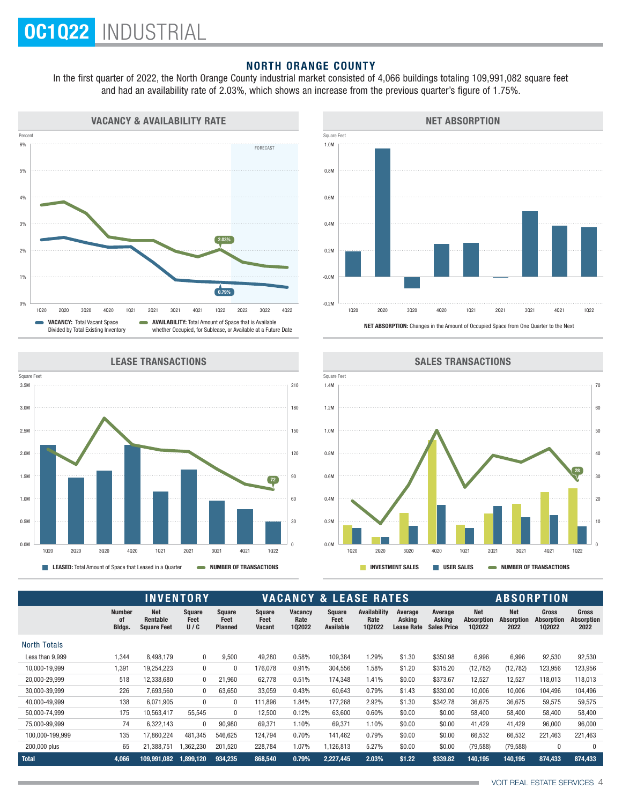## NORTH ORANGE COUNTY

In the first quarter of 2022, the North Orange County industrial market consisted of 4,066 buildings totaling 109,991,082 square feet and had an availability rate of 2.03%, which shows an increase from the previous quarter's figure of 1.75%.





#### LEASE TRANSACTIONS





|                     |                               | <b>INVENTORY</b>                             |                       |                                         |                                        | <b>VACANCY &amp; LEASE RATES</b> |                             |                                       |                                        |                                         | <b>ABSORPTION</b>                         |                                         |                                             |                                           |  |
|---------------------|-------------------------------|----------------------------------------------|-----------------------|-----------------------------------------|----------------------------------------|----------------------------------|-----------------------------|---------------------------------------|----------------------------------------|-----------------------------------------|-------------------------------------------|-----------------------------------------|---------------------------------------------|-------------------------------------------|--|
|                     | <b>Number</b><br>0f<br>Bldgs. | <b>Net</b><br>Rentable<br><b>Square Feet</b> | Square<br>Feet<br>U/C | <b>Square</b><br>Feet<br><b>Planned</b> | <b>Square</b><br>Feet<br><b>Vacant</b> | <b>Vacancy</b><br>Rate<br>102022 | Square<br>Feet<br>Available | <b>Availability</b><br>Rate<br>102022 | Average<br>Asking<br><b>Lease Rate</b> | Average<br>Asking<br><b>Sales Price</b> | <b>Net</b><br><b>Absorption</b><br>102022 | <b>Net</b><br><b>Absorption</b><br>2022 | <b>Gross</b><br><b>Absorption</b><br>102022 | <b>Gross</b><br><b>Absorption</b><br>2022 |  |
| <b>North Totals</b> |                               |                                              |                       |                                         |                                        |                                  |                             |                                       |                                        |                                         |                                           |                                         |                                             |                                           |  |
| Less than 9,999     | 1,344                         | 8,498,179                                    | 0                     | 9,500                                   | 49,280                                 | 0.58%                            | 109,384                     | 1.29%                                 | \$1.30                                 | \$350.98                                | 6,996                                     | 6,996                                   | 92,530                                      | 92,530                                    |  |
| 10,000-19,999       | 1,391                         | 19,254,223                                   | 0                     | 0                                       | 176,078                                | 0.91%                            | 304,556                     | 1.58%                                 | \$1.20                                 | \$315.20                                | (12, 782)                                 | (12, 782)                               | 123,956                                     | 123,956                                   |  |
| 20,000-29,999       | 518                           | 12,338,680                                   | 0                     | 21,960                                  | 62.778                                 | 0.51%                            | 174,348                     | 1.41%                                 | \$0.00                                 | \$373.67                                | 12,527                                    | 12,527                                  | 118,013                                     | 118,013                                   |  |
| 30,000-39,999       | 226                           | 7,693,560                                    | 0                     | 63,650                                  | 33,059                                 | 0.43%                            | 60,643                      | 0.79%                                 | \$1.43                                 | \$330.00                                | 10,006                                    | 10,006                                  | 104,496                                     | 104,496                                   |  |
| 40,000-49,999       | 138                           | 6,071,905                                    | $\Omega$              | $\Omega$                                | 111.896                                | 1.84%                            | 177,268                     | 2.92%                                 | \$1.30                                 | \$342.78                                | 36,675                                    | 36,675                                  | 59,575                                      | 59,575                                    |  |
| 50,000-74,999       | 175                           | 10,563,417                                   | 55,545                | 0                                       | 12,500                                 | 0.12%                            | 63,600                      | 0.60%                                 | \$0.00                                 | \$0.00                                  | 58,400                                    | 58,400                                  | 58,400                                      | 58,400                                    |  |
| 75,000-99,999       | 74                            | 6,322,143                                    | $\Omega$              | 90,980                                  | 69,371                                 | 1.10%                            | 69,371                      | 1.10%                                 | \$0.00                                 | \$0.00                                  | 41,429                                    | 41,429                                  | 96,000                                      | 96,000                                    |  |
| 100,000-199,999     | 135                           | 17,860,224                                   | 481,345               | 546,625                                 | 124,794                                | 0.70%                            | 141,462                     | 0.79%                                 | \$0.00                                 | \$0.00                                  | 66,532                                    | 66,532                                  | 221,463                                     | 221,463                                   |  |
| 200,000 plus        | 65                            | 21,388,751                                   | 1,362,230             | 201,520                                 | 228,784                                | 1.07%                            | 1,126,813                   | 5.27%                                 | \$0.00                                 | \$0.00                                  | (79, 588)                                 | (79, 588)                               | $\mathbf{0}$                                | 0                                         |  |
| <b>Total</b>        | 4,066                         | 109.991.082                                  | 1,899,120             | 934,235                                 | 868,540                                | 0.79%                            | 2,227,445                   | 2.03%                                 | \$1.22                                 | \$339.82                                | 140,195                                   | 140,195                                 | 874,433                                     | 874,433                                   |  |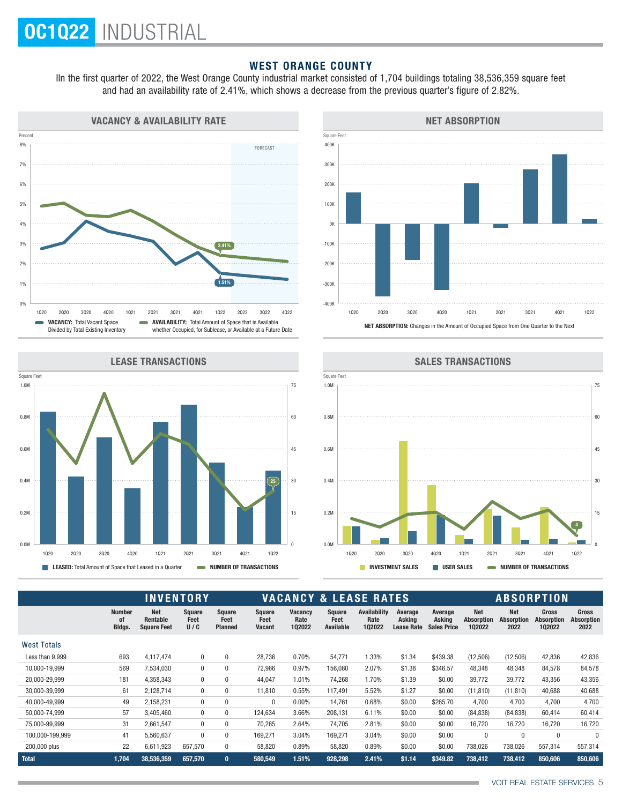# WEST ORANGE COUNTY

IIn the first quarter of 2022, the West Orange County industrial market consisted of 1,704 buildings totaling 38,536,359 square feet and had an availability rate of 2.41%, which shows a decrease from the previous quarter's figure of 2.82%.



LEASE TRANSACTIONS







|                    | <b>INVENTORY</b>              |                                              |                       |                                         |                                 | <b>VACANCY &amp; LEASE RATES</b> |                                    |                                       |                                        |                                         |                                           | <b>ABSORPTION</b>                |                                             |                                           |  |  |
|--------------------|-------------------------------|----------------------------------------------|-----------------------|-----------------------------------------|---------------------------------|----------------------------------|------------------------------------|---------------------------------------|----------------------------------------|-----------------------------------------|-------------------------------------------|----------------------------------|---------------------------------------------|-------------------------------------------|--|--|
|                    | <b>Number</b><br>0f<br>Bldgs. | <b>Net</b><br>Rentable<br><b>Square Feet</b> | Square<br>Feet<br>U/C | <b>Square</b><br>Feet<br><b>Planned</b> | Square<br>Feet<br><b>Vacant</b> | <b>Vacancy</b><br>Rate<br>102022 | <b>Square</b><br>Feet<br>Available | <b>Availability</b><br>Rate<br>102022 | Average<br>Asking<br><b>Lease Rate</b> | Average<br>Askina<br><b>Sales Price</b> | <b>Net</b><br><b>Absorption</b><br>102022 | <b>Net</b><br>Absorption<br>2022 | <b>Gross</b><br><b>Absorption</b><br>102022 | <b>Gross</b><br><b>Absorption</b><br>2022 |  |  |
| <b>West Totals</b> |                               |                                              |                       |                                         |                                 |                                  |                                    |                                       |                                        |                                         |                                           |                                  |                                             |                                           |  |  |
| Less than 9,999    | 693                           | 4.117.474                                    | $\mathbf{0}$          | $\mathbf 0$                             | 28,736                          | 0.70%                            | 54,771                             | 1.33%                                 | \$1.34                                 | \$439.38                                | (12,506)                                  | (12,506)                         | 42,836                                      | 42,836                                    |  |  |
| 10,000-19,999      | 569                           | 7,534,030                                    | 0                     | $\mathbf{0}$                            | 72,966                          | 0.97%                            | 156,080                            | 2.07%                                 | \$1.38                                 | \$346.57                                | 48,348                                    | 48,348                           | 84,578                                      | 84,578                                    |  |  |
| 20,000-29,999      | 181                           | 4,358,343                                    | $\mathbf{0}$          | $\mathbf{0}$                            | 44,047                          | 1.01%                            | 74,268                             | 1.70%                                 | \$1.39                                 | \$0.00                                  | 39,772                                    | 39,772                           | 43,356                                      | 43,356                                    |  |  |
| 30,000-39,999      | 61                            | 2.128.714                                    | 0                     | $\mathbf{0}$                            | 11.810                          | 0.55%                            | 117.491                            | 5.52%                                 | \$1.27                                 | \$0.00                                  | (11, 810)                                 | (11, 810)                        | 40,688                                      | 40,688                                    |  |  |
| 40.000-49.999      | 49                            | 2.158.231                                    | $\mathbf{0}$          | $\mathbf{0}$                            | $\mathbf{0}$                    | $0.00\%$                         | 14,761                             | 0.68%                                 | \$0.00                                 | \$265.70                                | 4.700                                     | 4.700                            | 4,700                                       | 4,700                                     |  |  |
| 50.000-74.999      | 57                            | 3.405.460                                    | $\mathbf{0}$          | $\mathbf{0}$                            | 124.634                         | 3.66%                            | 208,131                            | 6.11%                                 | \$0.00                                 | \$0.00                                  | (84, 838)                                 | (84, 838)                        | 60.414                                      | 60,414                                    |  |  |
| 75,000-99,999      | 31                            | 2,661,547                                    | $\mathbf{0}$          | $\mathbf{0}$                            | 70,265                          | 2.64%                            | 74,705                             | 2.81%                                 | \$0.00                                 | \$0.00                                  | 16,720                                    | 16,720                           | 16,720                                      | 16,720                                    |  |  |
| 100,000-199,999    | 41                            | 5,560,637                                    | $\Omega$              | $\mathbf{0}$                            | 169,271                         | 3.04%                            | 169,271                            | 3.04%                                 | \$0.00                                 | \$0.00                                  | $\mathbf 0$                               | $\mathbf 0$                      | $\Omega$                                    | $\theta$                                  |  |  |
| 200,000 plus       | 22                            | 6,611,923                                    | 657,570               | $\mathbf{0}$                            | 58,820                          | 0.89%                            | 58,820                             | 0.89%                                 | \$0.00                                 | \$0.00                                  | 738,026                                   | 738,026                          | 557,314                                     | 557,314                                   |  |  |
| Total              | 1.704                         | 38,536,359                                   | 657.570               | $\mathbf{0}$                            | 580.549                         | 1.51%                            | 928.298                            | 2.41%                                 | \$1.14                                 | \$349.82                                | 738.412                                   | 738.412                          | 850.606                                     | 850,606                                   |  |  |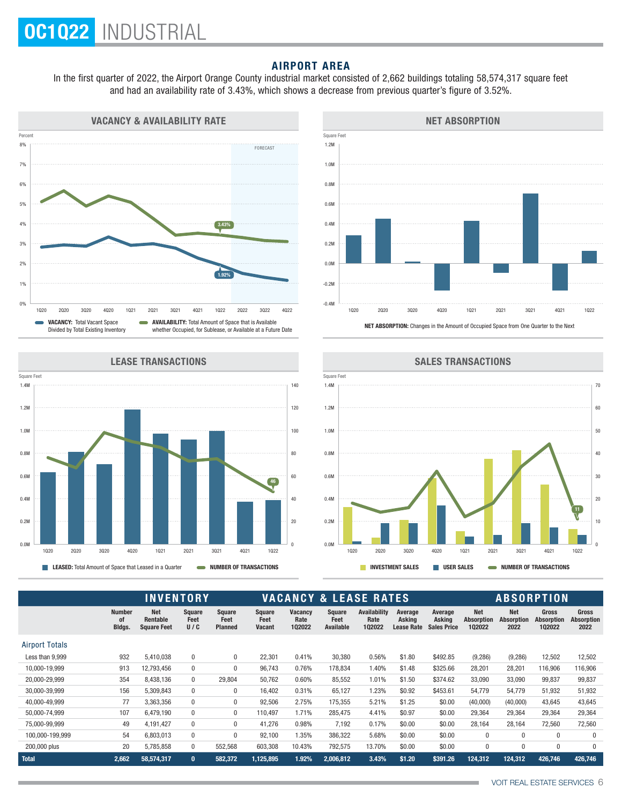## AIRPORT AREA

In the first quarter of 2022, the Airport Orange County industrial market consisted of 2,662 buildings totaling 58,574,317 square feet and had an availability rate of 3.43%, which shows a decrease from previous quarter's figure of 3.52%.











|                       |                               | <b>INVENTORY</b>                             |                       |                                         | <b>VACANCY &amp; LEASE RATES</b>       |                                  |                                    |                                       |                                        |                                         | <b>ABSORPTION</b>                         |                                         |                                             |                                           |  |
|-----------------------|-------------------------------|----------------------------------------------|-----------------------|-----------------------------------------|----------------------------------------|----------------------------------|------------------------------------|---------------------------------------|----------------------------------------|-----------------------------------------|-------------------------------------------|-----------------------------------------|---------------------------------------------|-------------------------------------------|--|
|                       | <b>Number</b><br>0f<br>Bldgs. | <b>Net</b><br>Rentable<br><b>Square Feet</b> | Square<br>Feet<br>U/C | <b>Square</b><br>Feet<br><b>Planned</b> | <b>Square</b><br>Feet<br><b>Vacant</b> | <b>Vacancy</b><br>Rate<br>102022 | <b>Square</b><br>Feet<br>Available | <b>Availability</b><br>Rate<br>102022 | Average<br>Asking<br><b>Lease Rate</b> | Average<br>Asking<br><b>Sales Price</b> | <b>Net</b><br><b>Absorption</b><br>102022 | <b>Net</b><br><b>Absorption</b><br>2022 | <b>Gross</b><br><b>Absorption</b><br>102022 | <b>Gross</b><br><b>Absorption</b><br>2022 |  |
| <b>Airport Totals</b> |                               |                                              |                       |                                         |                                        |                                  |                                    |                                       |                                        |                                         |                                           |                                         |                                             |                                           |  |
| Less than 9.999       | 932                           | 5,410,038                                    | $\pmb{0}$             | 0                                       | 22,301                                 | 0.41%                            | 30,380                             | 0.56%                                 | \$1.80                                 | \$492.85                                | (9, 286)                                  | (9, 286)                                | 12,502                                      | 12,502                                    |  |
| 10,000-19,999         | 913                           | 12,793,456                                   | $\pmb{0}$             | 0                                       | 96,743                                 | 0.76%                            | 178,834                            | 1.40%                                 | \$1.48                                 | \$325.66                                | 28,201                                    | 28,201                                  | 116,906                                     | 116,906                                   |  |
| 20,000-29,999         | 354                           | 8,438,136                                    | $\bf{0}$              | 29,804                                  | 50,762                                 | 0.60%                            | 85,552                             | 1.01%                                 | \$1.50                                 | \$374.62                                | 33,090                                    | 33,090                                  | 99,837                                      | 99,837                                    |  |
| 30,000-39,999         | 156                           | 5,309,843                                    | $\bf{0}$              | 0                                       | 16,402                                 | 0.31%                            | 65,127                             | 1.23%                                 | \$0.92                                 | \$453.61                                | 54,779                                    | 54,779                                  | 51,932                                      | 51,932                                    |  |
| 40.000-49.999         | 77                            | 3,363,356                                    | $\mathbf{0}$          | 0                                       | 92,506                                 | 2.75%                            | 175,355                            | 5.21%                                 | \$1.25                                 | \$0.00                                  | (40,000)                                  | (40,000)                                | 43,645                                      | 43,645                                    |  |
| 50,000-74,999         | 107                           | 6,479,190                                    | $\pmb{0}$             | 0                                       | 110.497                                | 1.71%                            | 285,475                            | 4.41%                                 | \$0.97                                 | \$0.00                                  | 29,364                                    | 29,364                                  | 29,364                                      | 29,364                                    |  |
| 75,000-99,999         | 49                            | 4.191.427                                    | $\bf{0}$              | 0                                       | 41,276                                 | 0.98%                            | 7,192                              | 0.17%                                 | \$0.00                                 | \$0.00                                  | 28,164                                    | 28,164                                  | 72,560                                      | 72,560                                    |  |
| 100,000-199,999       | 54                            | 6,803,013                                    | $\mathbf{0}$          | $\Omega$                                | 92,100                                 | 1.35%                            | 386,322                            | 5.68%                                 | \$0.00                                 | \$0.00                                  | $\mathbf{0}$                              | $\Omega$                                | $\Omega$                                    | $\Omega$                                  |  |
| 200,000 plus          | 20                            | 5,785,858                                    | 0                     | 552,568                                 | 603,308                                | 10.43%                           | 792,575                            | 13.70%                                | \$0.00                                 | \$0.00                                  | 0                                         | 0                                       | $\mathbf{0}$                                | 0                                         |  |
| Total                 | 2,662                         | 58,574,317                                   | $\mathbf{0}$          | 582,372                                 | 1,125,895                              | 1.92%                            | 2,006,812                          | 3.43%                                 | \$1.20                                 | \$391.26                                | 124,312                                   | 124,312                                 | 426,746                                     | 426,746                                   |  |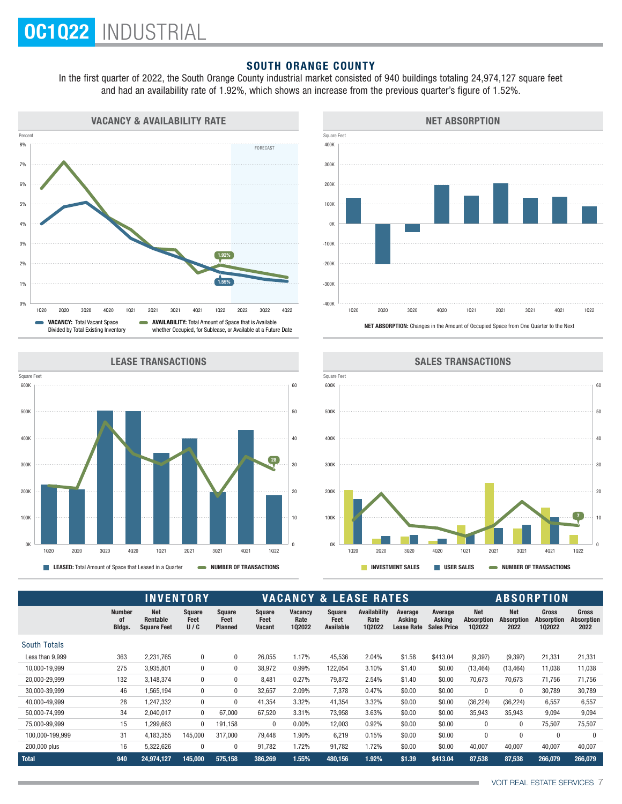### SOUTH ORANGE COUNTY

In the first quarter of 2022, the South Orange County industrial market consisted of 940 buildings totaling 24,974,127 square feet and had an availability rate of 1.92%, which shows an increase from the previous quarter's figure of 1.52%.





LEASE TRANSACTIONS





|                     |                               |                                              | <b>INVENTORY</b>      |                                         |                                 | <b>VACANCY &amp; LEASE RATES</b> |                                    |                                       |                                        |                                         |                                           | <b>ABSORPTION</b>                       |                                      |                                           |  |  |
|---------------------|-------------------------------|----------------------------------------------|-----------------------|-----------------------------------------|---------------------------------|----------------------------------|------------------------------------|---------------------------------------|----------------------------------------|-----------------------------------------|-------------------------------------------|-----------------------------------------|--------------------------------------|-------------------------------------------|--|--|
|                     | <b>Number</b><br>0f<br>Bldgs. | <b>Net</b><br>Rentable<br><b>Square Feet</b> | Square<br>Feet<br>U/C | <b>Square</b><br>Feet<br><b>Planned</b> | <b>Square</b><br>Feet<br>Vacant | <b>Vacancy</b><br>Rate<br>102022 | <b>Square</b><br>Feet<br>Available | <b>Availability</b><br>Rate<br>102022 | Average<br>Asking<br><b>Lease Rate</b> | Average<br>Asking<br><b>Sales Price</b> | <b>Net</b><br><b>Absorption</b><br>102022 | <b>Net</b><br><b>Absorption</b><br>2022 | <b>Gross</b><br>Absorption<br>102022 | <b>Gross</b><br><b>Absorption</b><br>2022 |  |  |
| <b>South Totals</b> |                               |                                              |                       |                                         |                                 |                                  |                                    |                                       |                                        |                                         |                                           |                                         |                                      |                                           |  |  |
| Less than 9,999     | 363                           | 2,231,765                                    | 0                     | $\mathbf{0}$                            | 26,055                          | 1.17%                            | 45,536                             | 2.04%                                 | \$1.58                                 | \$413.04                                | (9, 397)                                  | (9, 397)                                | 21,331                               | 21,331                                    |  |  |
| 10,000-19,999       | 275                           | 3.935.801                                    | $\mathbf{0}$          | 0                                       | 38.972                          | 0.99%                            | 122,054                            | 3.10%                                 | \$1.40                                 | \$0.00                                  | (13, 464)                                 | (13, 464)                               | 11,038                               | 11,038                                    |  |  |
| 20,000-29,999       | 132                           | 3,148,374                                    | $\mathbf{0}$          | 0                                       | 8,481                           | 0.27%                            | 79,872                             | 2.54%                                 | \$1.40                                 | \$0.00                                  | 70,673                                    | 70,673                                  | 71,756                               | 71,756                                    |  |  |
| 30.000-39.999       | 46                            | 1,565,194                                    | $\mathbf{0}$          | 0                                       | 32,657                          | 2.09%                            | 7,378                              | 0.47%                                 | \$0.00                                 | \$0.00                                  | $\mathbf 0$                               | $\mathbf 0$                             | 30,789                               | 30,789                                    |  |  |
| 40,000-49,999       | 28                            | 1,247,332                                    | $\mathbf{0}$          | 0                                       | 41,354                          | 3.32%                            | 41,354                             | 3.32%                                 | \$0.00                                 | \$0.00                                  | (36, 224)                                 | (36, 224)                               | 6,557                                | 6,557                                     |  |  |
| 50,000-74,999       | 34                            | 2,040,017                                    | $\mathbf{0}$          | 67,000                                  | 67,520                          | 3.31%                            | 73,958                             | 3.63%                                 | \$0.00                                 | \$0.00                                  | 35,943                                    | 35,943                                  | 9,094                                | 9,094                                     |  |  |
| 75,000-99,999       | 15                            | 1,299,663                                    | $\Omega$              | 191,158                                 | 0                               | 0.00%                            | 12,003                             | 0.92%                                 | \$0.00                                 | \$0.00                                  | 0                                         | 0                                       | 75,507                               | 75,507                                    |  |  |
| 100,000-199,999     | 31                            | 4,183,355                                    | 145,000               | 317.000                                 | 79,448                          | 1.90%                            | 6,219                              | 0.15%                                 | \$0.00                                 | \$0.00                                  | 0                                         | $\mathbf 0$                             | $\Omega$                             | $\Omega$                                  |  |  |
| 200,000 plus        | 16                            | 5,322,626                                    | 0                     | 0                                       | 91,782                          | 1.72%                            | 91,782                             | 1.72%                                 | \$0.00                                 | \$0.00                                  | 40,007                                    | 40,007                                  | 40,007                               | 40,007                                    |  |  |
| Total               | 940                           | 24.974.127                                   | 145.000               | 575.158                                 | 386,269                         | 1.55%                            | 480.156                            | 1.92%                                 | \$1.39                                 | \$413.04                                | 87,538                                    | 87,538                                  | 266.079                              | 266.079                                   |  |  |